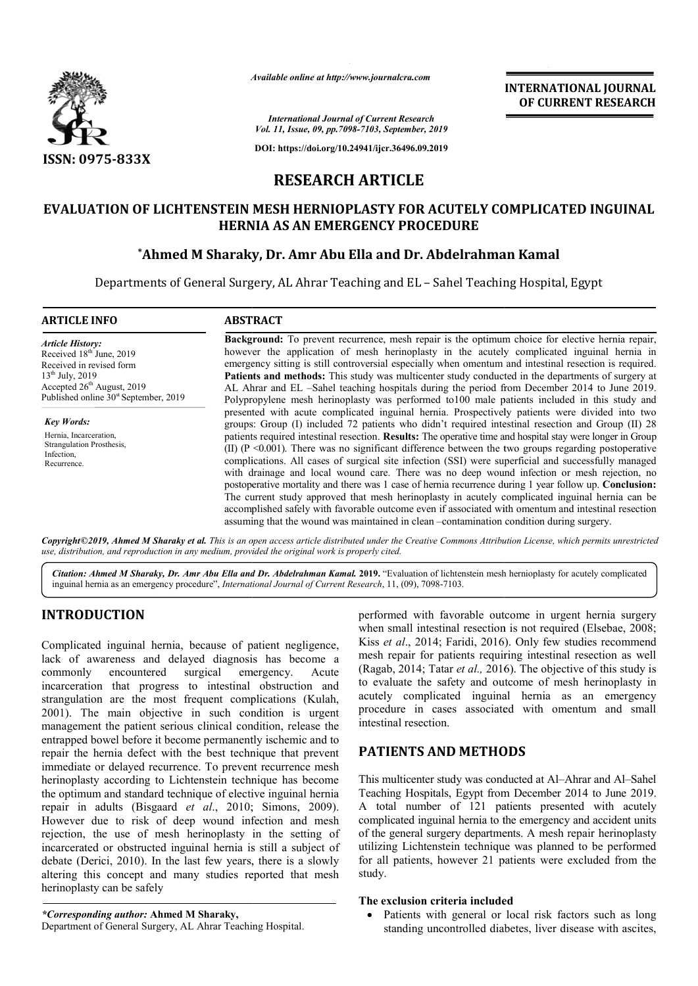

*Available online at http://www.journalcra.com*

**INTERNATIONAL JOURNAL OF CURRENT RESEARCH**

*International Journal of Current Research Vol. 11, Issue, 09, pp.7098-7103, September, 2019*

**DOI: https://doi.org/10.24941/ijcr.36496.09.2019**

# **RESEARCH ARTICLE**

## **EVALUATION OF LICHTENSTEIN MESH HERNIOPLASTY FOR ACUTELY COMPLICATED INGUINAL LICHTENSTEIN MESH HERNIA AS AN EMERGENCY PROCEDURE**

## **\*Ahmed M Sharaky, Ahmed Dr. Amr Abu Ella and Dr. Abdelrahman Kamal**

Departments of General Surgery, AL Ahrar Teaching and EL – Sahel Teaching Hospital, Egypt

**ARTICLE INFO ABSTRACT Background:** To prevent recurrence, mesh repair is the optimum choice for elective hernia repair, however the application of mesh herinoplasty in the acutely complicated inguinal hernia in emergency sitting is still controversial especially when omentum and intestinal resection is required. Patients and methods: This study was multicenter study conducted in the departments of surgery at AL Ahrar and EL –Sahel teaching hospitals during the period from December 2014 to June 2019. Polypropylene mesh herinoplasty was performed to100 male patients included in this study and **Background:** To prevent recurrence, mesh repair is the optimum choice for elective hernia repair, however the application of mesh herinoplasty in the acutely complicated inguinal hernia in emergency sitting is still contr groups: Group (I) included 72 patients who didn't required intestinal resection and Group (II) 28 groups: Group (I) included 72 patients who didn't required intestinal resection and Group (II) 28 patients required intestinal resection. **Results:** The operative time and hospital stay were longer in Group (II)  $(P \le 0.001)$ . There was no significant difference between the two groups regarding postoperative complications. All cases of surgical site infection (SSI) were superficial and successfully managed with drainage and local wound care. There was no deep wound infection or mesh rejection, no (II) (P <0.001). There was no significant difference between the two groups regarding postoperative complications. All cases of surgical site infection (SSI) were superficial and successfully managed with drainage and loca The current study approved that mesh herinoplasty in acutely complicated inguinal hernia can be The current study approved that mesh herinoplasty in acutely complicated inguinal hernia can be accomplished safely with favorable outcome even if associated with omentum and intestinal resection assuming that the wound was maintained in clean –contamination condition contamination during surgery. *Article History:* Received 18<sup>th</sup> June, 2019 Received in revised form 13th July, 2019 Accepted 26<sup>th</sup> August, 2019 Published online 30<sup>st</sup> September, 2019 *Key Words:* Hernia, Incarceration, Strangulation Prosthesis, Infection, Recurrence.

Copyright©2019, Ahmed M Sharaky et al. This is an open access article distributed under the Creative Commons Attribution License, which permits unrestrictea *use, distribution, and reproduction in any medium, provided the original work is properly cited.*

Citation: Ahmed M Sharaky, Dr. Amr Abu Ella and Dr. Abdelrahman Kamal. 2019. "Evaluation of lichtenstein mesh hernioplasty for acutely complicated inguinal hernia as an emergency procedure", *International Journal of Current Research*, 11, (09), 7098-7103.

## **INTRODUCTION**

Complicated inguinal hernia, because of patient negligence, lack of awareness and delayed diagnosis has become a commonly encountered surgical emergency. Acute commonly encountered surgical emergency. Acute incarceration that progress to intestinal obstruction and strangulation are the most frequent complications (Kulah, 2001). The main objective in such condition is urgent management the patient serious clinical condition, release the entrapped bowel before it become permanently ischemic and to repair the hernia defect with the best technique that prevent immediate or delayed recurrence. To prevent recurrence mesh herinoplasty according to Lichtenstein technique has become the optimum and standard technique of elective inguinal hernia repair in adults (Bisgaard *et al*., 2010; Simons, 2009). However due to risk of deep wound infection and mesh rejection, the use of mesh herinoplasty in the setting of incarcerated or obstructed inguinal hernia is still a subject of debate (Derici, 2010). In the last few years, there is a slowly altering this concept and many studies reported that mesh herinoplasty can be safely

Department of General Surgery, AL Ahrar Teaching Hospital.

performed with favorable outcome in urgent hernia surgery when small intestinal resection is not required (Elsebae, 2008; Kiss *et al*., 2014; Faridi, 2016 , 2016). Only few studies recommend mesh repair for patients requiring intestinal resection as well mesh repair for patients requiring intestinal resection as well (Ragab, 2014; Tatar *et al.*, 2016). The objective of this study is to evaluate the safety and outcome of mesh herinoplasty in to evaluate the safety and outcome of mesh herinoplasty in acutely complicated inguinal hernia as an emergency procedure in cases associated with omentum and small intestinal resection.

## **PATIENTS AND METHODS**

This multicenter study was conducted at Al-Ahrar and Al-Sahel Teaching Hospitals, Egypt from December 2014 to June 2019. A total number of 121 patients presented with acutely complicated inguinal hernia to the emergency and accident units Teaching Hospitals, Egypt from December 2014 to June 2019.<br>A total number of 121 patients presented with acutely<br>complicated inguinal hernia to the emergency and accident units<br>of the general surgery departments. A mesh re utilizing Lichtenstein technique was planned to be performed for all patients, however 21 patients were excluded from the study.

#### **The exclusion criteria included**

 Patients with general or local risk factors such as long Patients with general or local risk factors such as long standing uncontrolled diabetes, liver disease with ascites,

*<sup>\*</sup>Corresponding author:* **Ahmed M Sharaky,**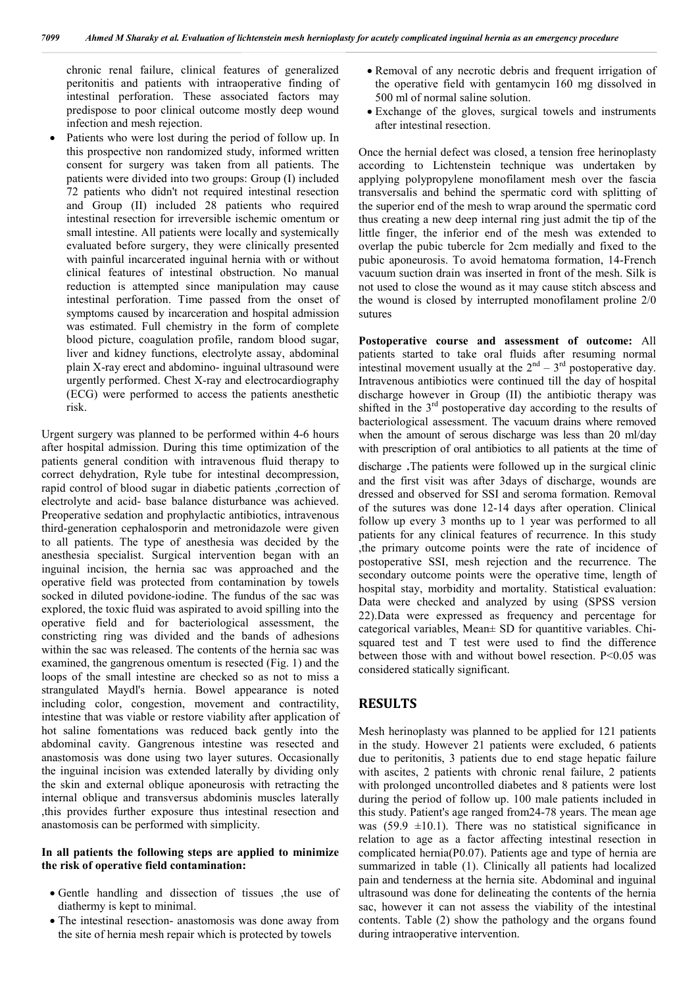chronic renal failure, clinical features of generalized peritonitis and patients with intraoperative finding of intestinal perforation. These associated factors may predispose to poor clinical outcome mostly deep wound infection and mesh rejection.

 Patients who were lost during the period of follow up. In this prospective non randomized study, informed written consent for surgery was taken from all patients. The patients were divided into two groups: Group (I) included 72 patients who didn't not required intestinal resection and Group (II) included 28 patients who required intestinal resection for irreversible ischemic omentum or small intestine. All patients were locally and systemically evaluated before surgery, they were clinically presented with painful incarcerated inguinal hernia with or without clinical features of intestinal obstruction. No manual reduction is attempted since manipulation may cause intestinal perforation. Time passed from the onset of symptoms caused by incarceration and hospital admission was estimated. Full chemistry in the form of complete blood picture, coagulation profile, random blood sugar, liver and kidney functions, electrolyte assay, abdominal plain X-ray erect and abdomino- inguinal ultrasound were urgently performed. Chest X-ray and electrocardiography (ECG) were performed to access the patients anesthetic risk.

Urgent surgery was planned to be performed within 4-6 hours after hospital admission. During this time optimization of the patients general condition with intravenous fluid therapy to correct dehydration, Ryle tube for intestinal decompression, rapid control of blood sugar in diabetic patients ,correction of electrolyte and acid- base balance disturbance was achieved. Preoperative sedation and prophylactic antibiotics, intravenous third-generation cephalosporin and metronidazole were given to all patients. The type of anesthesia was decided by the anesthesia specialist. Surgical intervention began with an inguinal incision, the hernia sac was approached and the operative field was protected from contamination by towels socked in diluted povidone-iodine. The fundus of the sac was explored, the toxic fluid was aspirated to avoid spilling into the operative field and for bacteriological assessment, the constricting ring was divided and the bands of adhesions within the sac was released. The contents of the hernia sac was examined, the gangrenous omentum is resected (Fig. 1) and the loops of the small intestine are checked so as not to miss a strangulated Maydl's hernia. Bowel appearance is noted including color, congestion, movement and contractility, intestine that was viable or restore viability after application of hot saline fomentations was reduced back gently into the abdominal cavity. Gangrenous intestine was resected and anastomosis was done using two layer sutures. Occasionally the inguinal incision was extended laterally by dividing only the skin and external oblique aponeurosis with retracting the internal oblique and transversus abdominis muscles laterally ,this provides further exposure thus intestinal resection and anastomosis can be performed with simplicity.

#### **In all patients the following steps are applied to minimize the risk of operative field contamination:**

- Gentle handling and dissection of tissues ,the use of diathermy is kept to minimal.
- The intestinal resection- anastomosis was done away from the site of hernia mesh repair which is protected by towels
- Removal of any necrotic debris and frequent irrigation of the operative field with gentamycin 160 mg dissolved in 500 ml of normal saline solution.
- Exchange of the gloves, surgical towels and instruments after intestinal resection.

Once the hernial defect was closed, a tension free herinoplasty according to Lichtenstein technique was undertaken by applying polypropylene monofilament mesh over the fascia transversalis and behind the spermatic cord with splitting of the superior end of the mesh to wrap around the spermatic cord thus creating a new deep internal ring just admit the tip of the little finger, the inferior end of the mesh was extended to overlap the pubic tubercle for 2cm medially and fixed to the pubic aponeurosis. To avoid hematoma formation, 14-French vacuum suction drain was inserted in front of the mesh. Silk is not used to close the wound as it may cause stitch abscess and the wound is closed by interrupted monofilament proline 2/0 sutures

**Postoperative course and assessment of outcome:** All patients started to take oral fluids after resuming normal intestinal movement usually at the  $2<sup>nd</sup> - 3<sup>rd</sup>$  postoperative day. Intravenous antibiotics were continued till the day of hospital discharge however in Group (II) the antibiotic therapy was shifted in the 3<sup>rd</sup> postoperative day according to the results of bacteriological assessment. The vacuum drains where removed when the amount of serous discharge was less than 20 ml/day with prescription of oral antibiotics to all patients at the time of

discharge .The patients were followed up in the surgical clinic and the first visit was after 3days of discharge, wounds are dressed and observed for SSI and seroma formation. Removal of the sutures was done 12-14 days after operation. Clinical follow up every 3 months up to 1 year was performed to all patients for any clinical features of recurrence. In this study ,the primary outcome points were the rate of incidence of postoperative SSI, mesh rejection and the recurrence. The secondary outcome points were the operative time, length of hospital stay, morbidity and mortality. Statistical evaluation: Data were checked and analyzed by using (SPSS version 22).Data were expressed as frequency and percentage for categorical variables, Mean± SD for quantitive variables. Chisquared test and T test were used to find the difference between those with and without bowel resection. P<0.05 was considered statically significant.

### **RESULTS**

Mesh herinoplasty was planned to be applied for 121 patients in the study. However 21 patients were excluded, 6 patients due to peritonitis, 3 patients due to end stage hepatic failure with ascites, 2 patients with chronic renal failure, 2 patients with prolonged uncontrolled diabetes and 8 patients were lost during the period of follow up. 100 male patients included in this study. Patient's age ranged from24-78 years. The mean age was (59.9  $\pm$ 10.1). There was no statistical significance in relation to age as a factor affecting intestinal resection in complicated hernia(P0.07). Patients age and type of hernia are summarized in table (1). Clinically all patients had localized pain and tenderness at the hernia site. Abdominal and inguinal ultrasound was done for delineating the contents of the hernia sac, however it can not assess the viability of the intestinal contents. Table (2) show the pathology and the organs found during intraoperative intervention.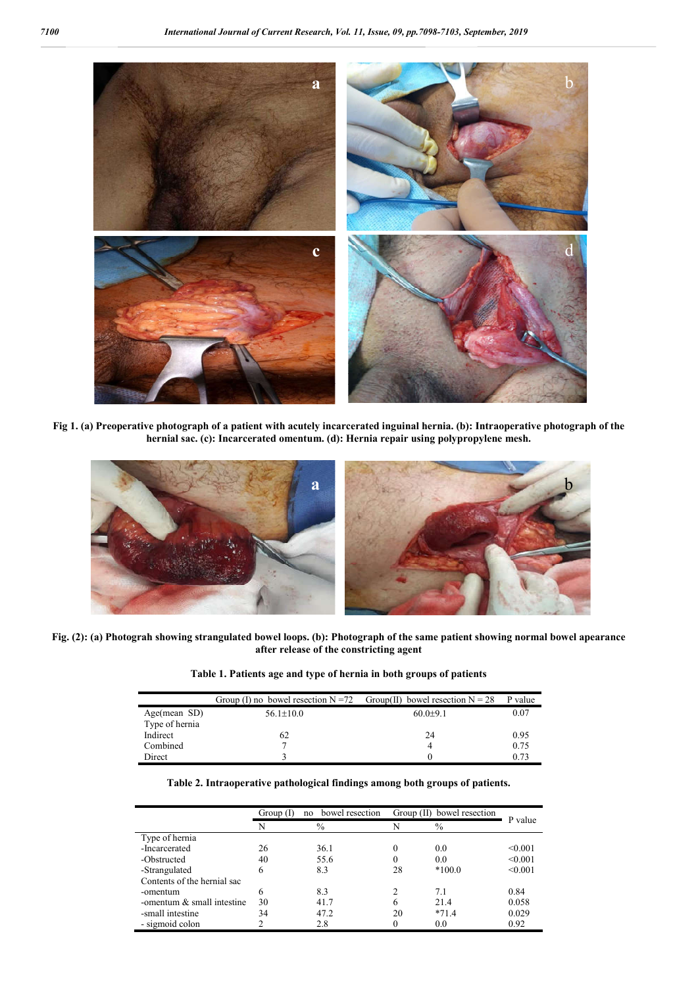

**Fig 1. (a) Preoperative photograph of a patient with acutely incarcerated inguinal hernia. (b): Intraoperative photograph of the hernial sac. (c): Incarcerated omentum. (d): Hernia repair using polypropylene mesh.**



**Fig. (2): (a) Photograh showing strangulated bowel loops. (b): Photograph of the same patient showing normal bowel apearance after release of the constricting agent**

**Table 1. Patients age and type of hernia in both groups of patients**

|                | Group (I) no bowel resection $N = 72$ Group(II) bowel resection $N = 28$ |              | P value |
|----------------|--------------------------------------------------------------------------|--------------|---------|
| Age(mean SD)   | $56.1 \pm 10.0$                                                          | $60.0 + 9.1$ | 0.07    |
| Type of hernia |                                                                          |              |         |
| Indirect       | 62                                                                       | 24           | 0.95    |
| Combined       |                                                                          |              | 0.75    |
| Direct         |                                                                          |              | 0.73    |

| Table 2. Intraoperative pathological findings among both groups of patients. |  |  |  |  |
|------------------------------------------------------------------------------|--|--|--|--|
|------------------------------------------------------------------------------|--|--|--|--|

|                              | bowel resection<br>Group (I)<br>no |      | Group $(II)$ |          |         |
|------------------------------|------------------------------------|------|--------------|----------|---------|
|                              | N                                  | $\%$ | N            | $\%$     | P value |
| Type of hernia               |                                    |      |              |          |         |
| -Incarcerated                | 26                                 | 36.1 | 0            | 0.0      | < 0.001 |
| -Obstructed                  | 40                                 | 55.6 | 0            | 0.0      | < 0.001 |
| -Strangulated                | 6                                  | 8.3  | 28           | $*100.0$ | < 0.001 |
| Contents of the hernial sac  |                                    |      |              |          |         |
| -omentum                     | 6                                  | 8.3  |              | 7.1      | 0.84    |
| -omentum $&$ small intestine | 30                                 | 41.7 | 6            | 21.4     | 0.058   |
| -small intestine             | 34                                 | 47.2 | 20           | $*71.4$  | 0.029   |
| - sigmoid colon              |                                    | 2.8  | 0            | 0.0      | 0.92    |

j.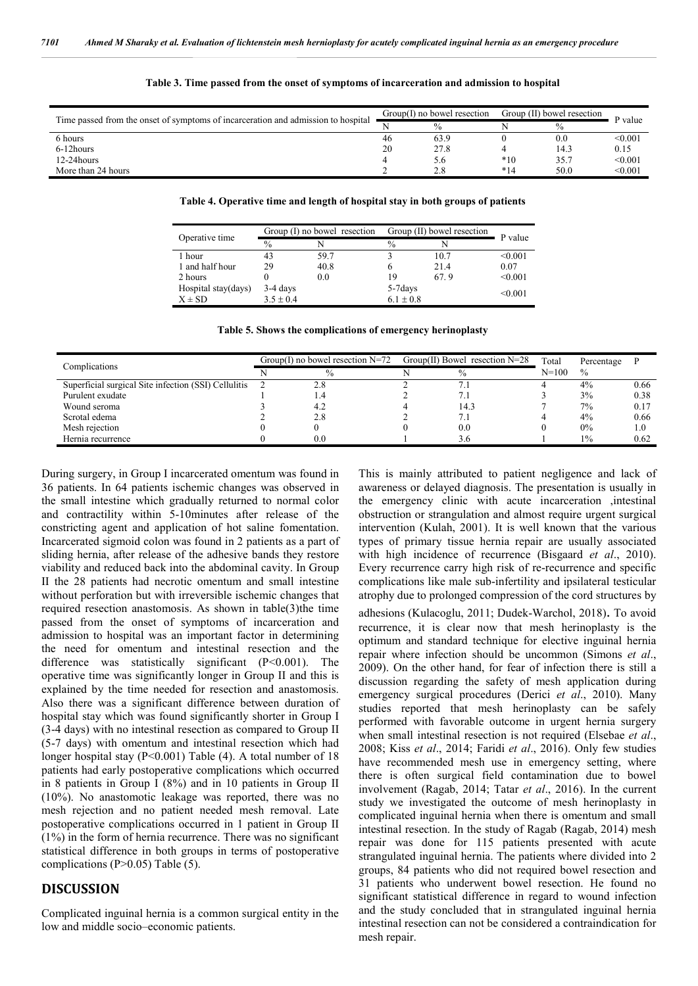| Time passed from the onset of symptoms of incarceration and admission to hospital |    | $Group(I)$ no bowel resection |       | Group (II) bowel resection |         |
|-----------------------------------------------------------------------------------|----|-------------------------------|-------|----------------------------|---------|
|                                                                                   |    | $\frac{0}{0}$                 |       | $\%$                       | P value |
| 6 hours                                                                           | 46 | 63.9                          |       | $_{0.0}$                   | < 0.001 |
| 6-12hours                                                                         | 20 | 27.8                          |       | 14.3                       | 0.15    |
| $12-24$ hours                                                                     |    | 5.6                           | $*10$ | 35.7                       | < 0.001 |
| More than 24 hours                                                                |    |                               | $*14$ | 50.0                       | < 0.001 |

#### **Table 3. Time passed from the onset of symptoms of incarceration and admission to hospital**

**Table 4. Operative time and length of hospital stay in both groups of patients**

| Operative time      |               | Group $(I)$ no bowel resection | Group (II) bowel resection | P value |         |
|---------------------|---------------|--------------------------------|----------------------------|---------|---------|
|                     | $\frac{0}{0}$ |                                | $\%$                       |         |         |
| 1 hour              | 43            | 59.7                           |                            | 10.7    | < 0.001 |
| 1 and half hour     | 29            | 40.8                           |                            | 21.4    | 0.07    |
| 2 hours             |               | 0.0                            | 19                         | 67.9    | < 0.001 |
| Hospital stay(days) | $3-4$ days    |                                | 5-7 days                   |         |         |
| $X \pm SD$          | $3.5 \pm 0.4$ |                                | $6.1 \pm 0.8$              | < 0.001 |         |

**Table 5. Shows the complications of emergency herinoplasty**

| Complications                                        | $Group(I)$ no bowel resection $N=72$ |       | $Group(II)$ Bowel resection N=28 |      | Total     | Percentage    |      |
|------------------------------------------------------|--------------------------------------|-------|----------------------------------|------|-----------|---------------|------|
|                                                      |                                      |       |                                  |      | $N = 100$ | $\frac{0}{0}$ |      |
| Superficial surgical Site infection (SSI) Cellulitis |                                      | 2.8   |                                  |      |           | 4%            | 0.66 |
| Purulent exudate                                     |                                      | $4 -$ |                                  |      |           | 3%            | 0.38 |
| Wound seroma                                         |                                      | 4.2   |                                  | 14.3 |           | 7%            | 0.17 |
| Scrotal edema                                        |                                      | 2.8   |                                  |      |           | 4%            | 0.66 |
| Mesh rejection                                       |                                      |       |                                  | 0.0  |           | 0%            |      |
| Hernia recurrence                                    |                                      | 0.0   |                                  |      |           | 1%            | 0.62 |

During surgery, in Group I incarcerated omentum was found in 36 patients. In 64 patients ischemic changes was observed in the small intestine which gradually returned to normal color and contractility within 5-10minutes after release of the constricting agent and application of hot saline fomentation. Incarcerated sigmoid colon was found in 2 patients as a part of sliding hernia, after release of the adhesive bands they restore viability and reduced back into the abdominal cavity. In Group II the 28 patients had necrotic omentum and small intestine without perforation but with irreversible ischemic changes that required resection anastomosis. As shown in table(3)the time passed from the onset of symptoms of incarceration and admission to hospital was an important factor in determining the need for omentum and intestinal resection and the difference was statistically significant (P<0.001). The operative time was significantly longer in Group II and this is explained by the time needed for resection and anastomosis. Also there was a significant difference between duration of hospital stay which was found significantly shorter in Group I (3-4 days) with no intestinal resection as compared to Group II (5-7 days) with omentum and intestinal resection which had longer hospital stay (P<0.001) Table (4). A total number of 18 patients had early postoperative complications which occurred in 8 patients in Group I (8%) and in 10 patients in Group II (10%). No anastomotic leakage was reported, there was no mesh rejection and no patient needed mesh removal. Late postoperative complications occurred in 1 patient in Group II (1%) in the form of hernia recurrence. There was no significant statistical difference in both groups in terms of postoperative complications (P>0.05) Table (5).

### **DISCUSSION**

Complicated inguinal hernia is a common surgical entity in the low and middle socio–economic patients.

This is mainly attributed to patient negligence and lack of awareness or delayed diagnosis. The presentation is usually in the emergency clinic with acute incarceration ,intestinal obstruction or strangulation and almost require urgent surgical intervention (Kulah, 2001). It is well known that the various types of primary tissue hernia repair are usually associated with high incidence of recurrence (Bisgaard *et al*., 2010). Every recurrence carry high risk of re-recurrence and specific complications like male sub-infertility and ipsilateral testicular atrophy due to prolonged compression of the cord structures by adhesions (Kulacoglu, 2011; Dudek-Warchol, 2018). To avoid recurrence, it is clear now that mesh herinoplasty is the optimum and standard technique for elective inguinal hernia repair where infection should be uncommon (Simons *et al*., 2009). On the other hand, for fear of infection there is still a discussion regarding the safety of mesh application during emergency surgical procedures (Derici *et al*., 2010). Many studies reported that mesh herinoplasty can be safely performed with favorable outcome in urgent hernia surgery when small intestinal resection is not required (Elsebae *et al*., 2008; Kiss *et al*., 2014; Faridi *et al*., 2016). Only few studies have recommended mesh use in emergency setting, where there is often surgical field contamination due to bowel involvement (Ragab, 2014; Tatar *et al*., 2016). In the current study we investigated the outcome of mesh herinoplasty in complicated inguinal hernia when there is omentum and small intestinal resection. In the study of Ragab (Ragab, 2014) mesh repair was done for 115 patients presented with acute strangulated inguinal hernia. The patients where divided into 2 groups, 84 patients who did not required bowel resection and 31 patients who underwent bowel resection. He found no significant statistical difference in regard to wound infection and the study concluded that in strangulated inguinal hernia intestinal resection can not be considered a contraindication for mesh repair.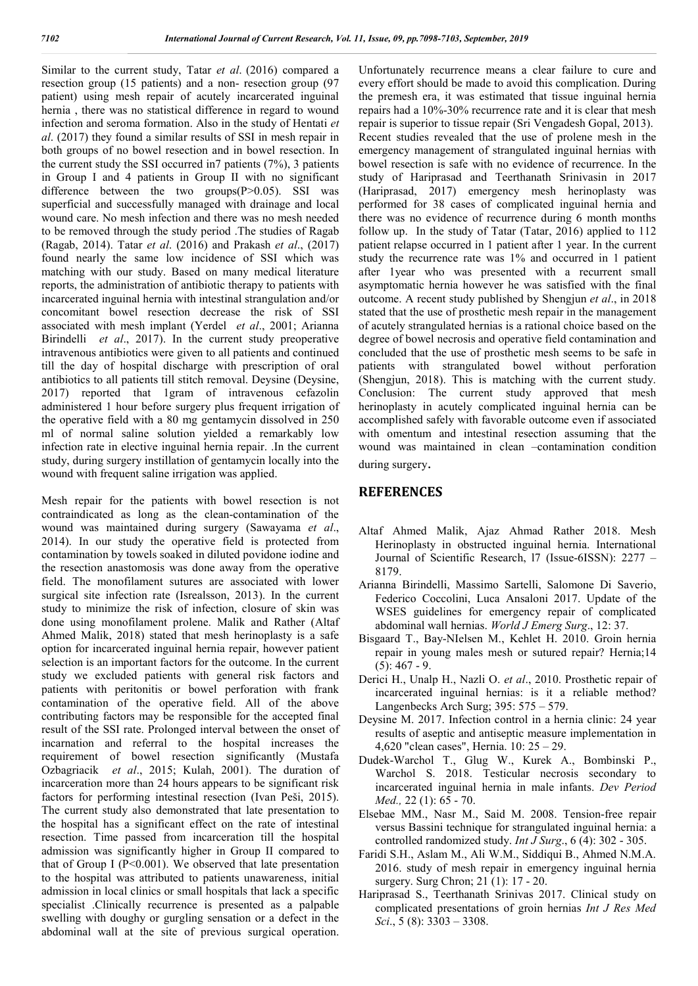Similar to the current study, Tatar *et al*. (2016) compared a resection group (15 patients) and a non- resection group (97 patient) using mesh repair of acutely incarcerated inguinal hernia , there was no statistical difference in regard to wound infection and seroma formation. Also in the study of Hentati *et al*. (2017) they found a similar results of SSI in mesh repair in both groups of no bowel resection and in bowel resection. In the current study the SSI occurred in7 patients (7%), 3 patients in Group I and 4 patients in Group II with no significant difference between the two groups $(P>0.05)$ . SSI was superficial and successfully managed with drainage and local wound care. No mesh infection and there was no mesh needed to be removed through the study period .The studies of Ragab (Ragab, 2014). Tatar *et al*. (2016) and Prakash *et al*., (2017) found nearly the same low incidence of SSI which was matching with our study. Based on many medical literature reports, the administration of antibiotic therapy to patients with incarcerated inguinal hernia with intestinal strangulation and/or concomitant bowel resection decrease the risk of SSI associated with mesh implant (Yerdel *et al*., 2001; Arianna Birindelli *et al*., 2017). In the current study preoperative intravenous antibiotics were given to all patients and continued till the day of hospital discharge with prescription of oral antibiotics to all patients till stitch removal. Deysine (Deysine, 2017) reported that 1gram of intravenous cefazolin administered 1 hour before surgery plus frequent irrigation of the operative field with a 80 mg gentamycin dissolved in 250 ml of normal saline solution yielded a remarkably low infection rate in elective inguinal hernia repair. .In the current study, during surgery instillation of gentamycin locally into the wound with frequent saline irrigation was applied.

Mesh repair for the patients with bowel resection is not contraindicated as long as the clean-contamination of the wound was maintained during surgery (Sawayama *et al*., 2014). In our study the operative field is protected from contamination by towels soaked in diluted povidone iodine and the resection anastomosis was done away from the operative field. The monofilament sutures are associated with lower surgical site infection rate (Isrealsson, 2013). In the current study to minimize the risk of infection, closure of skin was done using monofilament prolene. Malik and Rather (Altaf Ahmed Malik, 2018) stated that mesh herinoplasty is a safe option for incarcerated inguinal hernia repair, however patient selection is an important factors for the outcome. In the current study we excluded patients with general risk factors and patients with peritonitis or bowel perforation with frank contamination of the operative field. All of the above contributing factors may be responsible for the accepted final result of the SSI rate. Prolonged interval between the onset of incarnation and referral to the hospital increases the requirement of bowel resection significantly (Mustafa Ozbagriacik *et al*., 2015; Kulah, 2001). The duration of incarceration more than 24 hours appears to be significant risk factors for performing intestinal resection (Ivan Peši, 2015). The current study also demonstrated that late presentation to the hospital has a significant effect on the rate of intestinal resection. Time passed from incarceration till the hospital admission was significantly higher in Group II compared to that of Group I ( $P<0.001$ ). We observed that late presentation to the hospital was attributed to patients unawareness, initial admission in local clinics or small hospitals that lack a specific specialist .Clinically recurrence is presented as a palpable swelling with doughy or gurgling sensation or a defect in the abdominal wall at the site of previous surgical operation.

Unfortunately recurrence means a clear failure to cure and every effort should be made to avoid this complication. During the premesh era, it was estimated that tissue inguinal hernia repairs had a 10%-30% recurrence rate and it is clear that mesh repair is superior to tissue repair (Sri Vengadesh Gopal, 2013). Recent studies revealed that the use of prolene mesh in the emergency management of strangulated inguinal hernias with bowel resection is safe with no evidence of recurrence. In the study of Hariprasad and Teerthanath Srinivasin in 2017 (Hariprasad, 2017) emergency mesh herinoplasty was performed for 38 cases of complicated inguinal hernia and there was no evidence of recurrence during 6 month months follow up. In the study of Tatar (Tatar, 2016) applied to 112 patient relapse occurred in 1 patient after 1 year. In the current study the recurrence rate was 1% and occurred in 1 patient after 1year who was presented with a recurrent small asymptomatic hernia however he was satisfied with the final outcome. A recent study published by Shengjun *et al*., in 2018 stated that the use of prosthetic mesh repair in the management of acutely strangulated hernias is a rational choice based on the degree of bowel necrosis and operative field contamination and concluded that the use of prosthetic mesh seems to be safe in patients with strangulated bowel without perforation (Shengjun, 2018). This is matching with the current study. Conclusion: The current study approved that mesh herinoplasty in acutely complicated inguinal hernia can be accomplished safely with favorable outcome even if associated with omentum and intestinal resection assuming that the wound was maintained in clean –contamination condition

during surgery.

#### **REFERENCES**

- Altaf Ahmed Malik, Ajaz Ahmad Rather 2018. Mesh Herinoplasty in obstructed inguinal hernia. International Journal of Scientific Research, l7 (Issue-6ISSN): 2277 – 8179.
- Arianna Birindelli, Massimo Sartelli, Salomone Di Saverio, Federico Coccolini, Luca Ansaloni 2017. Update of the WSES guidelines for emergency repair of complicated abdominal wall hernias. *World J Emerg Surg*., 12: 37.
- Bisgaard T., Bay-NIelsen M., Kehlet H. 2010. Groin hernia repair in young males mesh or sutured repair? Hernia;14  $(5): 467 - 9.$
- Derici H., Unalp H., Nazli O. *et al*., 2010. Prosthetic repair of incarcerated inguinal hernias: is it a reliable method? Langenbecks Arch Surg; 395: 575 – 579.
- Deysine M. 2017. Infection control in a hernia clinic: 24 year results of aseptic and antiseptic measure implementation in 4,620 "clean cases", Hernia. 10: 25 – 29.
- Dudek-Warchol T., Glug W., Kurek A., Bombinski P., Warchol S. 2018. Testicular necrosis secondary to incarcerated inguinal hernia in male infants. *Dev Period Med.,* 22 (1): 65 - 70.
- Elsebae MM., Nasr M., Said M. 2008. Tension-free repair versus Bassini technique for strangulated inguinal hernia: a controlled randomized study. *Int J Surg*., 6 (4): 302 - 305.
- Faridi S.H., Aslam M., Ali W.M., Siddiqui B., Ahmed N.M.A. 2016. study of mesh repair in emergency inguinal hernia surgery. Surg Chron; 21 (1): 17 - 20.
- Hariprasad S., Teerthanath Srinivas 2017. Clinical study on complicated presentations of groin hernias *Int J Res Med Sci*., 5 (8): 3303 – 3308.